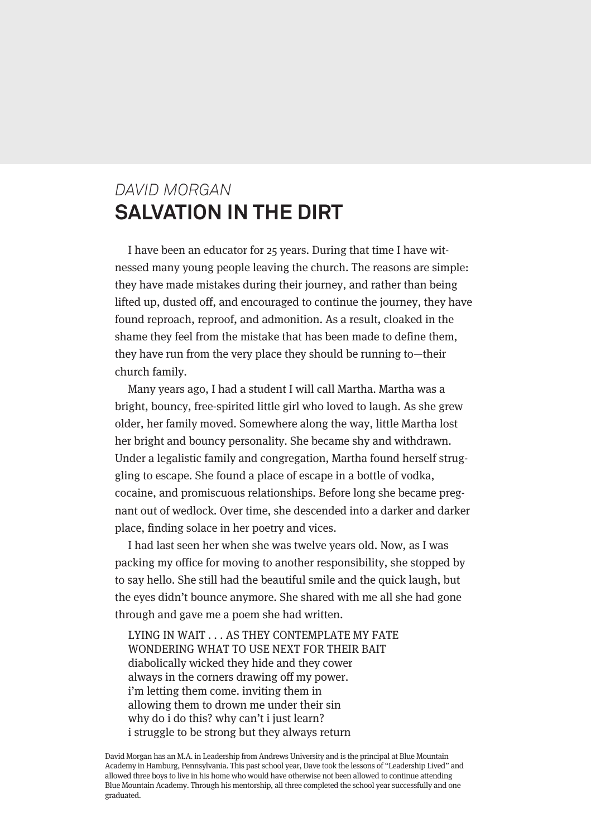## *DAVID MORGAN* **SALVATION IN THE DIRT**

I have been an educator for 25 years. During that time I have witnessed many young people leaving the church. The reasons are simple: they have made mistakes during their journey, and rather than being lifted up, dusted off, and encouraged to continue the journey, they have found reproach, reproof, and admonition. As a result, cloaked in the shame they feel from the mistake that has been made to define them, they have run from the very place they should be running to—their church family.

Many years ago, I had a student I will call Martha. Martha was a bright, bouncy, free-spirited little girl who loved to laugh. As she grew older, her family moved. Somewhere along the way, little Martha lost her bright and bouncy personality. She became shy and withdrawn. Under a legalistic family and congregation, Martha found herself struggling to escape. She found a place of escape in a bottle of vodka, cocaine, and promiscuous relationships. Before long she became pregnant out of wedlock. Over time, she descended into a darker and darker place, finding solace in her poetry and vices.

I had last seen her when she was twelve years old. Now, as I was packing my office for moving to another responsibility, she stopped by to say hello. She still had the beautiful smile and the quick laugh, but the eyes didn't bounce anymore. She shared with me all she had gone through and gave me a poem she had written.

LYING IN WAIT . . . AS THEY CONTEMPLATE MY FATE WONDERING WHAT TO USE NEXT FOR THEIR BAIT diabolically wicked they hide and they cower always in the corners drawing off my power. i'm letting them come. inviting them in allowing them to drown me under their sin why do i do this? why can't i just learn? i struggle to be strong but they always return

David Morgan has an M.A. in Leadership from Andrews University and is the principal at Blue Mountain Academy in Hamburg, Pennsylvania. This past school year, Dave took the lessons of "Leadership Lived" and allowed three boys to live in his home who would have otherwise not been allowed to continue attending Blue Mountain Academy. Through his mentorship, all three completed the school year successfully and one graduated.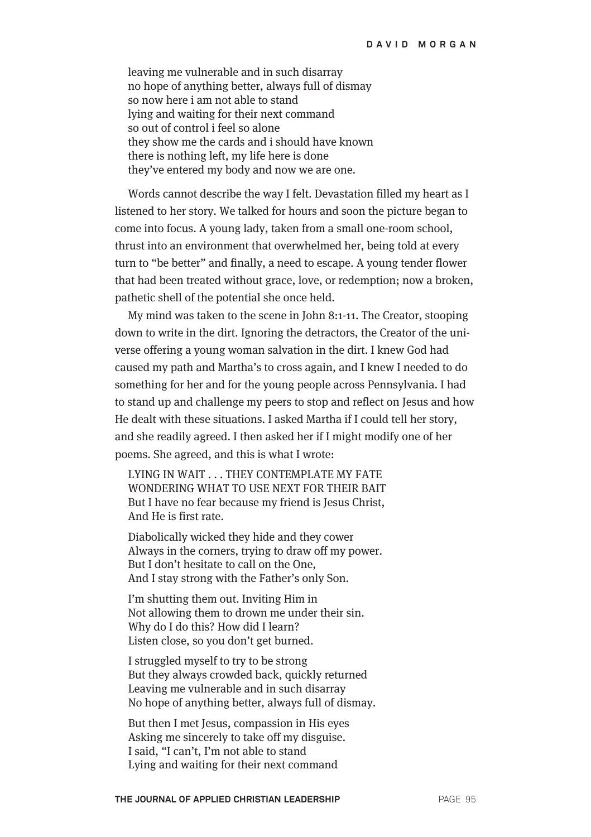leaving me vulnerable and in such disarray no hope of anything better, always full of dismay so now here i am not able to stand lying and waiting for their next command so out of control i feel so alone they show me the cards and i should have known there is nothing left, my life here is done they've entered my body and now we are one.

Words cannot describe the way I felt. Devastation filled my heart as I listened to her story. We talked for hours and soon the picture began to come into focus. A young lady, taken from a small one-room school, thrust into an environment that overwhelmed her, being told at every turn to "be better" and finally, a need to escape. A young tender flower that had been treated without grace, love, or redemption; now a broken, pathetic shell of the potential she once held.

My mind was taken to the scene in John 8:1-11. The Creator, stooping down to write in the dirt. Ignoring the detractors, the Creator of the universe offering a young woman salvation in the dirt. I knew God had caused my path and Martha's to cross again, and I knew I needed to do something for her and for the young people across Pennsylvania. I had to stand up and challenge my peers to stop and reflect on Jesus and how He dealt with these situations. I asked Martha if I could tell her story, and she readily agreed. I then asked her if I might modify one of her poems. She agreed, and this is what I wrote:

LYING IN WAIT . . . THEY CONTEMPLATE MY FATE WONDERING WHAT TO USE NEXT FOR THEIR BAIT But I have no fear because my friend is Jesus Christ, And He is first rate.

Diabolically wicked they hide and they cower Always in the corners, trying to draw off my power. But I don't hesitate to call on the One, And I stay strong with the Father's only Son.

I'm shutting them out. Inviting Him in Not allowing them to drown me under their sin. Why do I do this? How did I learn? Listen close, so you don't get burned.

I struggled myself to try to be strong But they always crowded back, quickly returned Leaving me vulnerable and in such disarray No hope of anything better, always full of dismay.

But then I met Jesus, compassion in His eyes Asking me sincerely to take off my disguise. I said, "I can't, I'm not able to stand Lying and waiting for their next command